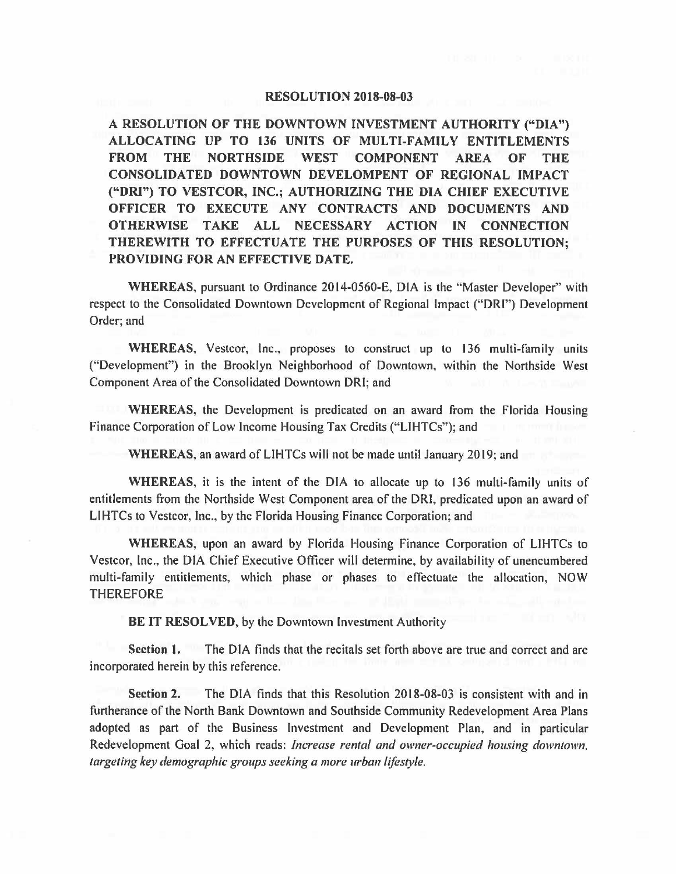## **RESOLUTION 2018-08-03**

**A RESOLUTION OF THE DOWNTOWN INVESTMENT AUTHORITY ("DIA") ALLOCATING UP TO 136 UNITS OF MULTI-FAMILY ENTITLEMENTS FROM THE NORTHSIDE WEST COMPONENT AREA OF THE CONSOLIDATED DOWNTOWN DEVELOMPENT OF REGIONAL IMPACT ("ORI") TO VESTCOR, INC.; AUTHORIZING THE DIA CHIEF EXECUTIVE OFFICER TO EXECUTE ANY CONTRACTS AND DOCUMENTS AND OTHERWISE TAKE ALL NECESSARY ACTION IN CONNECTION THEREWITH TO EFFECTUATE THE PURPOSES OF THIS RESOLUTION; PROVIDING FOR AN EFFECTIVE DATE.** 

**WHEREAS,** pursuant to Ordinance 2014-0560-E, DIA is the "Master Developer" with respect to the Consolidated Downtown Development of Regional Impact ("DRl") Development Order; and

**WHEREAS,** Vestcor, Inc., proposes to construct up to 136 multi-family units ("Development") in the Brooklyn Neighborhood of Downtown, within the Northside West Component Area of the Consolidated Downtown ORI; and

**WHEREAS,** the Development is predicated on an award from the Florida Housing Finance Corporation of Low Income Housing Tax Credits ("LIHTCs"); and

**WHEREAS,** an award of LIHTCs will not be made until January 2019; and

**WHEREAS,** it is the intent of the DIA to allocate up to 136 multi-family units of entitlements from the Northside West Component area of the ORI, predicated upon an award of LIHTCs to Vestcor, Inc., by the Florida Housing Finance Corporation; and

**WHEREAS,** upon an award by Florida Housing Finance Corporation of LIHTCs to Vestcor, Inc., the DIA Chief Executive Officer will determine, by availability of unencumbered multi-family entitlements, which phase or phases to effectuate the allocation, NOW THEREFORE

**BE IT RESOLVED,** by the Downtown Investment Authority

**Section 1.** The DIA finds that the recitals set forth above are true and correct and are incorporated herein by this reference.

**Section 2.** The DIA finds that this Resolution 2018-08-03 is consistent with and in furtherance of the North Bank Downtown and Southside Community Redevelopment Area Plans adopted as part of the Business Investment and Development Plan, and in particular Redevelopment Goal 2, which reads: *Increase rental and owner-occupied housing downtown, targeting key demographic groups seeking a more urban lifestyle.*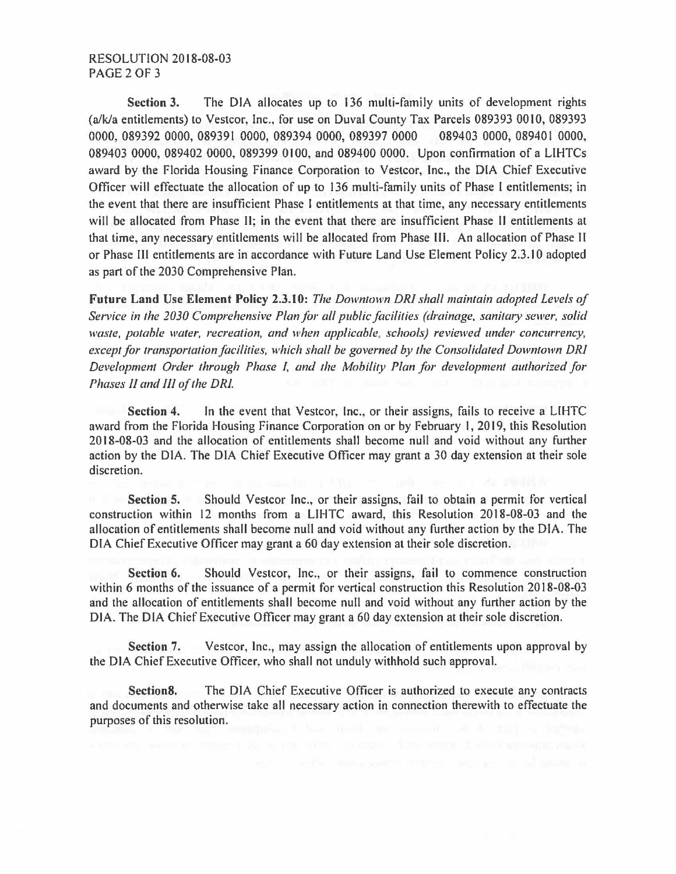**Section** 3. The DIA allocates up to 136 multi-family units of development rights (a/k/a entitlements) to Vestcor, Inc., for use on Duval County Tax Parcels 089393 0010, 089393 0000, 089392 0000, 089391 0000, 089394 0000, 089397 0000 089403 0000, 089401 0000, 089403 0000, 089402 0000, 089399 0100, and 089400 0000. Upon confirmation of a LIHTCs award by the Florida Housing Finance Corporation to Vestcor, Inc., the DIA Chief Executive Officer will effectuate the allocation of up to 136 multi-family units of Phase I entitlements; in the event that there are insufficient Phase I entitlements at that time, any necessary entitlements will be allocated from Phase II; in the event that there are insufficient Phase II entitlements at that time, any necessary entitlements will be allocated from Phase III. An allocation of Phase II or Phase Ill entitlements are in accordance with Future Land Use Element Policy 2.3.10 adopted as part of the 2030 Comprehensive Plan.

**Future Land Use Element Policy 2.3.10:** *The Down/own DR/ shall maintain adopted Levels of Service in the 2030 Comprehensive Plan for all public facilities (drainage, sanitary sewer, solid waste, potable water, recreation, and when applicable, schools) reviewed under concurrency, except for transportation facilities, which shall be governed by the Consolidated Downtown DR/ Development Order through Phase I, and the Mobility Plan for development authorized for Phases II and Ill of the DR/.* 

**Section 4.** In the event that Vestcor, Inc., or their assigns, fails to receive a LIHTC award from the Florida Housing Finance Corporation on or by February I, 2019, this Resolution 20 I 8-08-03 and the allocation of entitlements shall become null and void without any further action by the DIA. The DIA Chief Executive Officer may grant a 30 day extension at their sole discretion.

**Section 5.** Should Vestcor Inc., or their assigns, fail to obtain a permit for vertical construction within 12 months from a LIHTC award, this Resolution 2018-08-03 and the allocation of entitlements shall become null and void without any further action by the DIA. The DIA Chief Executive Officer may grant a 60 day extension at their sole discretion.

**Section 6.** Should Vestcor, Inc., or their assigns, fail to commence construction within 6 months of the issuance of a permit for vertical construction this Resolution 2018-08-03 and the allocation of entitlements shall become null and void without any further action by the DIA. The DIA Chief Executive Officer may grant a 60 day extension at their sole discretion.

**Section** 7. Vestcor, Inc., may assign the allocation of entitlements upon approval by the DIA Chief Executive Officer, who shall not unduly withhold such approval.

**Sections.** The DIA Chief Executive Officer is authorized to execute any contracts and documents and otherwise take all necessary action in connection therewith to effectuate the purposes of this resolution.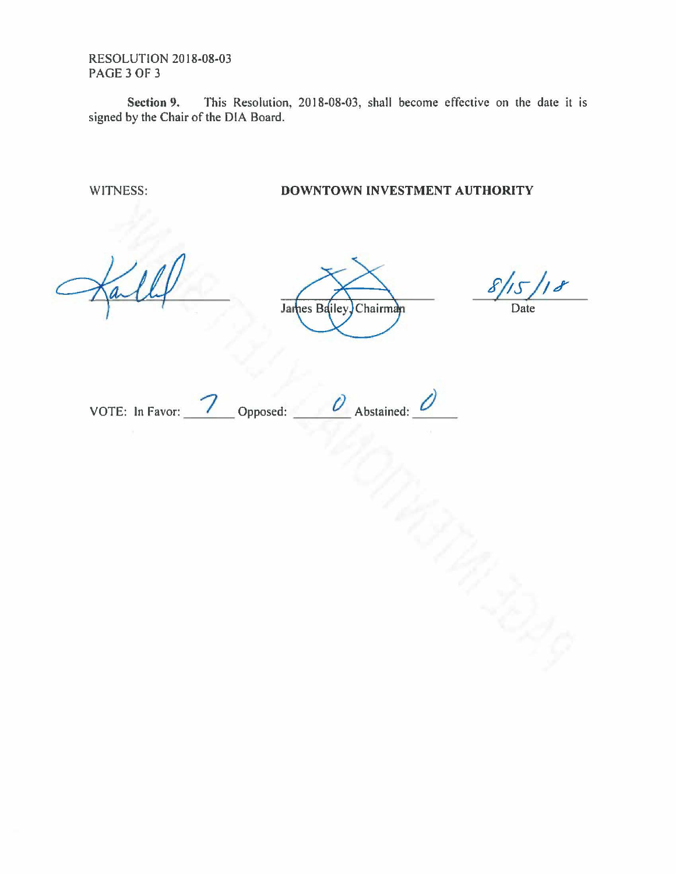RESOLUTION 2018-08-03 PAGE 3 OF 3

**Section 9.** This Resolution, 2018-08-03, shall become effective on the date it is signed by the Chair of the DIA Board.

WITNESS: **DOWNTOWN INVESTMENT AUTHORITY** 

James Bailey, Chairman

Date

VOTE: In Favor: 7 Opposed: <u>*O*</u> Abstained: <u>*C*</u>